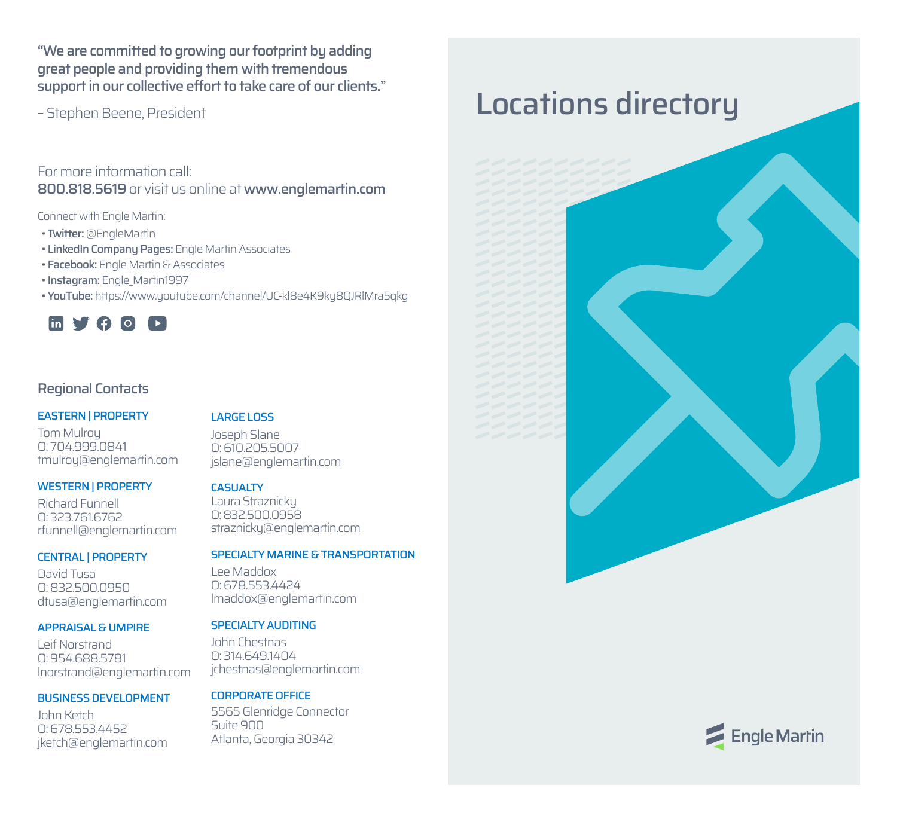"We are committed to growing our footprint by adding great people and providing them with tremendous support in our collective effort to take care of our clients."

– Stephen Beene, President

For more information call: 800.818.5619 or visit us online at www.englemartin.com

Connect with Engle Martin:

- Twitter: @EngleMartin
- LinkedIn Company Pages: Engle Martin Associates
- Facebook: Engle Martin & Associates
- Instagram: Engle Martin1997
- YouTube: https://www.youtube.com/channel/UC-kl8e4K9ky8QJRlMra5qkg



## Regional Contacts

### EASTERN | PROPERTY

Tom Mulroy O: 704.999.0841 tmulroy@englemartin.com

### WESTERN | PROPERTY

Richard Funnell O: 323.761.6762 rfunnell@englemartin.com

### CENTRAL | PROPERTY

David Tusa O: 832.500.0950 dtusa@englemartin.com

### APPRAISAL & UMPIRE

Leif Norstrand O: 954.688.5781 lnorstrand@englemartin.com

### BUSINESS DEVELOPMENT

John Ketch O: 678.553.4452 jketch@englemartin.com

### LARGE LOSS

Joseph Slane O: 610.205.5007 jslane@englemartin.com

### **CASUALTY**

Laura Straznicky O: 832.500.0958 straznicky@englemartin.com

### SPECIALTY MARINE & TRANSPORTATION

Lee Maddox O: 678.553.4424 lmaddox@englemartin.com

### SPECIALTY AUDITING

John Chestnas O: 314.649.1404 jchestnas@englemartin.com

## CORPORATE OFFICE

5565 Glenridge Connector Suite 900 Atlanta, Georgia 30342

# Locations directory